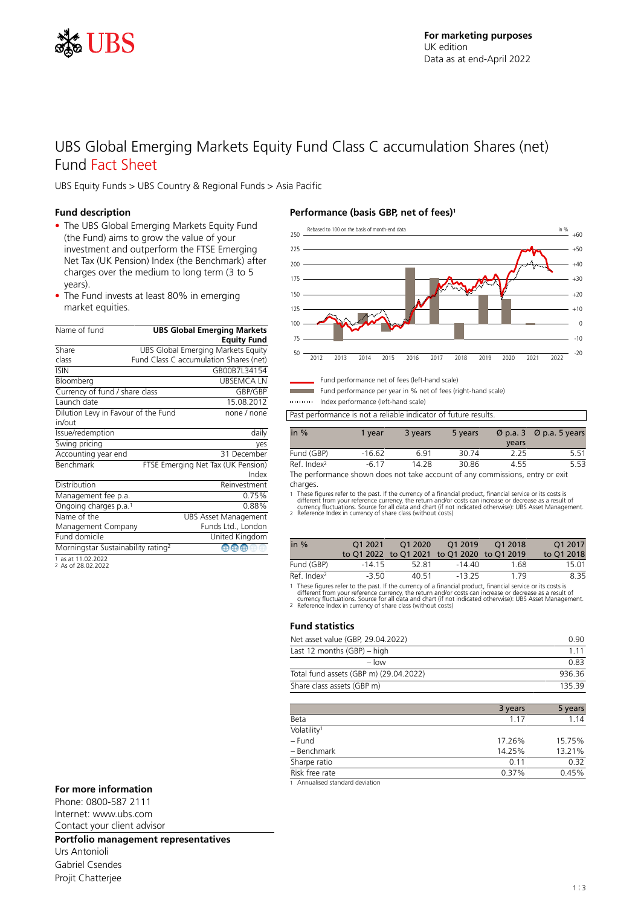

## UBS Global Emerging Markets Equity Fund Class C accumulation Shares (net) Fund Fact Sheet

UBS Equity Funds > UBS Country & Regional Funds > Asia Pacific

## **Fund description**

- The UBS Global Emerging Markets Equity Fund (the Fund) aims to grow the value of your investment and outperform the FTSE Emerging Net Tax (UK Pension) Index (the Benchmark) after charges over the medium to long term (3 to 5 years).
- The Fund invests at least 80% in emerging market equities.

| Name of fund                                   | <b>UBS Global Emerging Markets</b> |                                          |  |
|------------------------------------------------|------------------------------------|------------------------------------------|--|
|                                                |                                    | <b>Equity Fund</b>                       |  |
| Share                                          | UBS Global Emerging Markets Equity |                                          |  |
| class                                          |                                    | Fund Class C accumulation Shares (net)   |  |
| <b>ISIN</b>                                    |                                    | GB00B7L34154                             |  |
| Bloomberg                                      |                                    | <b>UBSEMCALN</b>                         |  |
| Currency of fund / share class                 |                                    | GBP/GBP                                  |  |
| Launch date                                    |                                    | 15.08.2012                               |  |
| Dilution Levy in Favour of the Fund            |                                    | none / none                              |  |
| in/out                                         |                                    |                                          |  |
| Issue/redemption                               |                                    | daily                                    |  |
| Swing pricing                                  |                                    | yes                                      |  |
| Accounting year end                            |                                    | 31 December                              |  |
| Benchmark                                      |                                    | FTSE Emerging Net Tax (UK Pension)       |  |
|                                                |                                    | Index                                    |  |
| Distribution                                   |                                    | Reinvestment                             |  |
| Management fee p.a.                            |                                    | 0.75%                                    |  |
| Ongoing charges p.a. <sup>1</sup>              |                                    | 0.88%                                    |  |
| Name of the                                    |                                    | <b>UBS Asset Management</b>              |  |
| Management Company                             |                                    | Funds Ltd., London                       |  |
| Fund domicile                                  |                                    | United Kingdom                           |  |
| Morningstar Sustainability rating <sup>2</sup> |                                    | $\textcircled{m} \oplus \textcircled{m}$ |  |
| $1 - 26 + 11022022$                            |                                    |                                          |  |

1 as at 11.02.2022 2 As of 28.02.2022

## **Performance (basis GBP, net of fees)<sup>1</sup>**



Fund performance net of fees (left-hand scale) Fund performance per year in % net of fees (right-hand scale)

Index performance (left-hand scale)

Past performance is not a reliable indicator of future results.

| in $%$                  | 1 vear   | 3 years | 5 years | vears | $\varnothing$ p.a. 3 $\varnothing$ p.a. 5 years |
|-------------------------|----------|---------|---------|-------|-------------------------------------------------|
| Fund (GBP)              | $-16.62$ | 6.91    | 30.74   | 2.25  | 5.51                                            |
| Ref. Index <sup>2</sup> | -6.17    | 14.28   | 30.86   | 4.55  | 5.53                                            |

The performance shown does not take account of any commissions, entry or exit charges.

1 These figures refer to the past. If the currency of a financial product, financial service or its costs is<br>different from your reference currency, the return and/or costs can increase or decrease as a result of<br>currency

| in $%$                  | 01 2021 | 01 20 20 | O1 2019<br>to Q1 2022 to Q1 2021 to Q1 2020 to Q1 2019 | 01 2018 | O1 2017<br>to 01 2018 |
|-------------------------|---------|----------|--------------------------------------------------------|---------|-----------------------|
| Fund (GBP)              | -14 15  | 52.81    | -14 40                                                 | 1.68    | 15.01                 |
| Ref. Index <sup>2</sup> | -3.50   | 40 51    | $-13.25$                                               | 179     | 8.35                  |

1 These figures refer to the past. If the currency of a financial product, financial service or its costs is<br>different from your reference currency, the return and/or costs can increase or decrease as a result of<br>currency

#### **Fund statistics**

| Net asset value (GBP, 29.04.2022)      | O 90   |
|----------------------------------------|--------|
| Last 12 months (GBP) – high            | 1 1 1  |
| $-$ low                                | 0.83   |
| Total fund assets (GBP m) (29.04.2022) | 936.36 |
| Share class assets (GBP m)             | 13539  |
|                                        |        |

|                                 | 3 years | 5 years |
|---------------------------------|---------|---------|
| Beta                            | 1.17    | 1.14    |
| Volatility <sup>1</sup>         |         |         |
| - Fund                          | 17.26%  | 15.75%  |
| - Benchmark                     | 14.25%  | 13.21%  |
| Sharpe ratio                    | 0.11    | 0.32    |
| Risk free rate                  | 0.37%   | 0.45%   |
| 1 Annualised standard deviation |         |         |

#### **For more information**

Phone: 0800-587 2111 Internet: www.ubs.com Contact your client advisor

## **Portfolio management representatives**

Urs Antonioli Gabriel Csendes Projit Chatterjee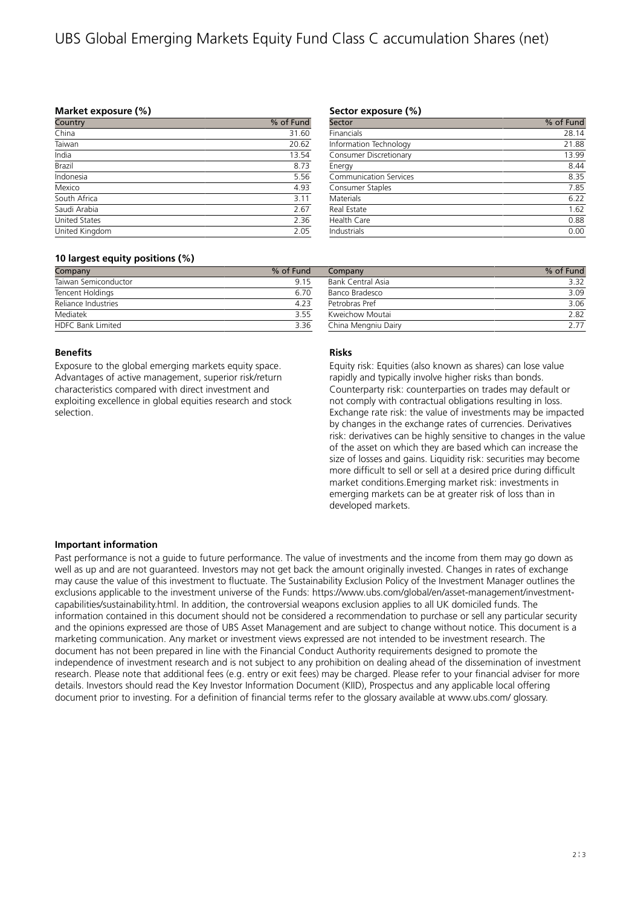# UBS Global Emerging Markets Equity Fund Class C accumulation Shares (net)

### **Market exposure (%)**

| Country        | % of Fund |
|----------------|-----------|
| China          | 31.60     |
| Taiwan         | 20.62     |
| India          | 13.54     |
| Brazil         | 8.73      |
| Indonesia      | 5.56      |
| Mexico         | 4.93      |
| South Africa   | 3.11      |
| Saudi Arabia   | 2.67      |
| United States  | 2.36      |
| United Kingdom | 2.05      |

#### **Sector exposure (%)**

| % of Fund |
|-----------|
| 28.14     |
| 21.88     |
| 13.99     |
| 8.44      |
| 8.35      |
| 7.85      |
| 6.22      |
| 1.62      |
| 0.88      |
| 0.00      |
|           |

### **10 largest equity positions (%)**

| Company                  | % of Fund |  |
|--------------------------|-----------|--|
| Taiwan Semiconductor     | 915       |  |
| Tencent Holdings         | 6.70      |  |
| Reliance Industries      | 4.23      |  |
| Mediatek                 | 355       |  |
| <b>HDFC Bank Limited</b> | 336       |  |

#### **Benefits**

Exposure to the global emerging markets equity space. Advantages of active management, superior risk/return characteristics compared with direct investment and exploiting excellence in global equities research and stock selection.

| Company                  | % of Fund |
|--------------------------|-----------|
| <b>Bank Central Asia</b> | 3.32      |
| Banco Bradesco           | 3.09      |
| Petrobras Pref           | 3.06      |
| Kweichow Moutai          | 2.82      |
| China Mengniu Dairy      | 7 77      |

## **Risks**

Equity risk: Equities (also known as shares) can lose value rapidly and typically involve higher risks than bonds. Counterparty risk: counterparties on trades may default or not comply with contractual obligations resulting in loss. Exchange rate risk: the value of investments may be impacted by changes in the exchange rates of currencies. Derivatives risk: derivatives can be highly sensitive to changes in the value of the asset on which they are based which can increase the size of losses and gains. Liquidity risk: securities may become more difficult to sell or sell at a desired price during difficult market conditions.Emerging market risk: investments in emerging markets can be at greater risk of loss than in developed markets.

#### **Important information**

Past performance is not a guide to future performance. The value of investments and the income from them may go down as well as up and are not guaranteed. Investors may not get back the amount originally invested. Changes in rates of exchange may cause the value of this investment to fluctuate. The Sustainability Exclusion Policy of the Investment Manager outlines the exclusions applicable to the investment universe of the Funds: https://www.ubs.com/global/en/asset-management/investmentcapabilities/sustainability.html. In addition, the controversial weapons exclusion applies to all UK domiciled funds. The information contained in this document should not be considered a recommendation to purchase or sell any particular security and the opinions expressed are those of UBS Asset Management and are subject to change without notice. This document is a marketing communication. Any market or investment views expressed are not intended to be investment research. The document has not been prepared in line with the Financial Conduct Authority requirements designed to promote the independence of investment research and is not subject to any prohibition on dealing ahead of the dissemination of investment research. Please note that additional fees (e.g. entry or exit fees) may be charged. Please refer to your financial adviser for more details. Investors should read the Key Investor Information Document (KIID), Prospectus and any applicable local offering document prior to investing. For a definition of financial terms refer to the glossary available at www.ubs.com/ glossary.